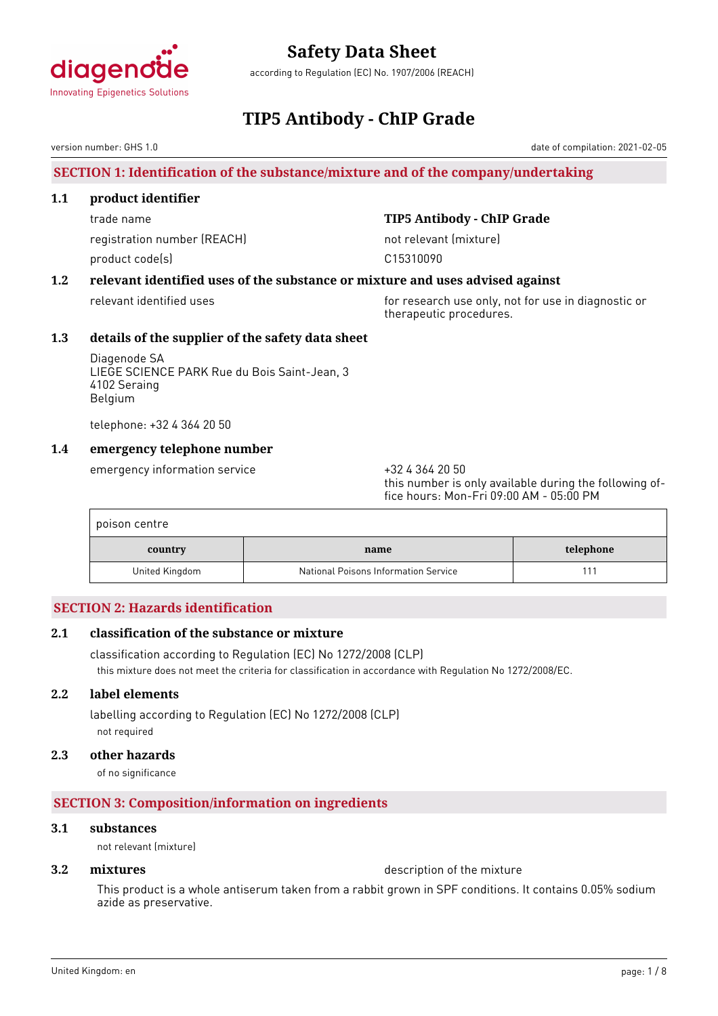

according to Regulation (EC) No. 1907/2006 (REACH)

# **TIP5 Antibody - ChIP Grade**

version number: GHS 1.0

# **SECTION 1: Identification of the substance/mixture and of the company/undertaking**

### **1.1 product identifier**

registration number (REACH) not relevant (mixture) product code(s) and contact to compute the contact of the contact of the contact of the contact of the contact of the contact of the contact of the contact of the contact of the contact of the contact of the contact of the

# trade name **TIP5 Antibody - ChIP Grade**

# **1.2 relevant identified uses of the substance or mixture and uses advised against**

relevant identified uses for research use only, not for use in diagnostic or therapeutic procedures.

# **1.3 details of the supplier of the safety data sheet**

Diagenode SA LIEGE SCIENCE PARK Rue du Bois Saint-Jean, 3 4102 Seraing Belgium

telephone: +32 4 364 20 50

# **1.4 emergency telephone number**

emergency information service  $+3243642050$ 

this number is only available during the following office hours: Mon-Fri 09:00 AM - 05:00 PM

| poison centre  |                                      |           |
|----------------|--------------------------------------|-----------|
| country        | name                                 | telephone |
| United Kingdom | National Poisons Information Service |           |

# **SECTION 2: Hazards identification**

# **2.1 classification of the substance or mixture**

classification according to Regulation (EC) No 1272/2008 (CLP) this mixture does not meet the criteria for classification in accordance with Regulation No 1272/2008/EC.

# **2.2 label elements**

labelling according to Regulation (EC) No 1272/2008 (CLP) not required

# **2.3 other hazards**

of no significance

# **SECTION 3: Composition/information on ingredients**

### **3.1 substances**

not relevant (mixture)

**3.2 <b>mixtures** description of the mixture

This product is a whole antiserum taken from a rabbit grown in SPF conditions. It contains 0.05% sodium azide as preservative.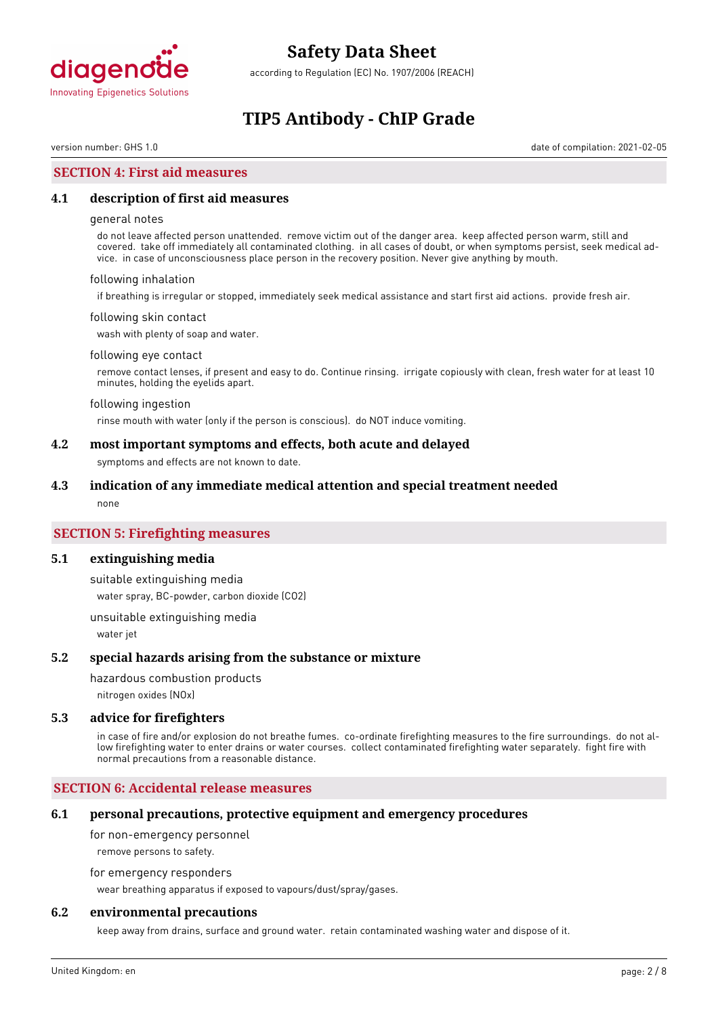

according to Regulation (EC) No. 1907/2006 (REACH)

# **TIP5 Antibody - ChIP Grade**

version number: GHS 1.0 date of compilation: 2021-02-05

### **SECTION 4: First aid measures**

#### **4.1 description of first aid measures**

#### general notes

do not leave affected person unattended. remove victim out of the danger area. keep affected person warm, still and covered. take off immediately all contaminated clothing. in all cases of doubt, or when symptoms persist, seek medical advice. in case of unconsciousness place person in the recovery position. Never give anything by mouth.

#### following inhalation

if breathing is irregular or stopped, immediately seek medical assistance and start first aid actions. provide fresh air.

#### following skin contact

wash with plenty of soap and water.

#### following eye contact

remove contact lenses, if present and easy to do. Continue rinsing. irrigate copiously with clean, fresh water for at least 10 minutes, holding the eyelids apart.

#### following ingestion

rinse mouth with water (only if the person is conscious). do NOT induce vomiting.

#### **4.2 most important symptoms and effects, both acute and delayed**

symptoms and effects are not known to date.

#### **4.3 indication of any immediate medical attention and special treatment needed**

none

# **SECTION 5: Firefighting measures**

#### **5.1 extinguishing media**

suitable extinguishing media water spray, BC-powder, carbon dioxide (CO2)

unsuitable extinguishing media water jet

#### **5.2 special hazards arising from the substance or mixture**

hazardous combustion products

nitrogen oxides (NOx)

#### **5.3 advice for firefighters**

in case of fire and/or explosion do not breathe fumes. co-ordinate firefighting measures to the fire surroundings. do not allow firefighting water to enter drains or water courses. collect contaminated firefighting water separately. fight fire with normal precautions from a reasonable distance.

#### **SECTION 6: Accidental release measures**

#### **6.1 personal precautions, protective equipment and emergency procedures**

for non-emergency personnel

remove persons to safety.

for emergency responders

wear breathing apparatus if exposed to vapours/dust/spray/gases.

### **6.2 environmental precautions**

keep away from drains, surface and ground water. retain contaminated washing water and dispose of it.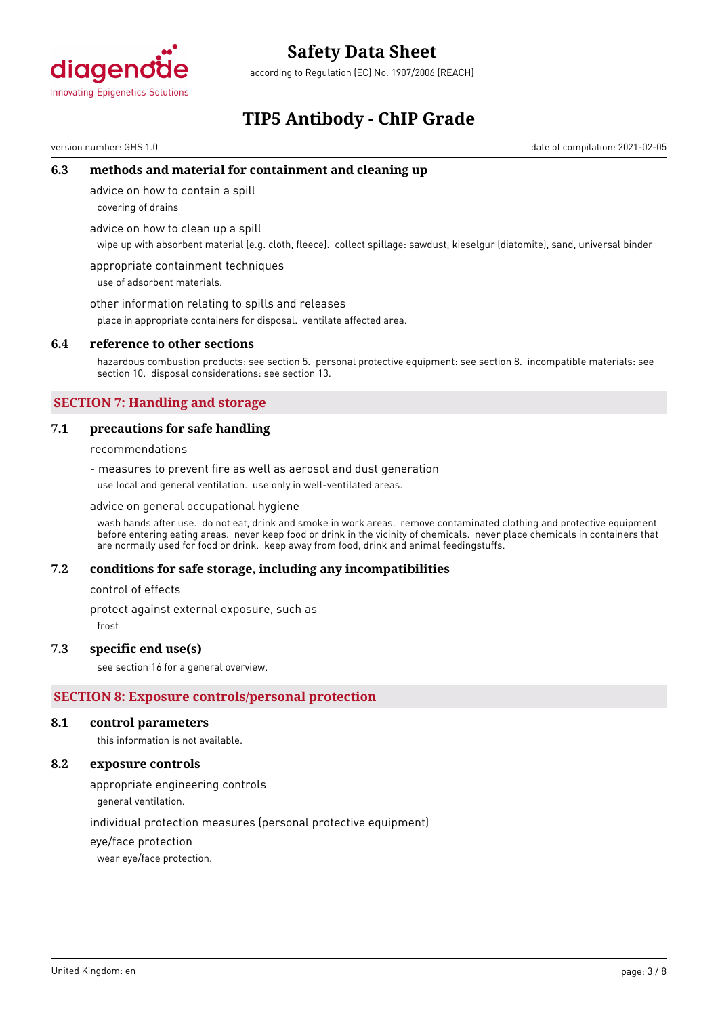

according to Regulation (EC) No. 1907/2006 (REACH)

# **TIP5 Antibody - ChIP Grade**

version number: GHS 1.0 date of compilation: 2021-02-05

## **6.3 methods and material for containment and cleaning up**

advice on how to contain a spill

covering of drains

advice on how to clean up a spill

wipe up with absorbent material (e.g. cloth, fleece). collect spillage: sawdust, kieselgur (diatomite), sand, universal binder

appropriate containment techniques use of adsorbent materials.

other information relating to spills and releases

place in appropriate containers for disposal. ventilate affected area.

#### **6.4 reference to other sections**

hazardous combustion products: see section 5. personal protective equipment: see section 8. incompatible materials: see section 10. disposal considerations: see section 13.

# **SECTION 7: Handling and storage**

### **7.1 precautions for safe handling**

recommendations

- measures to prevent fire as well as aerosol and dust generation use local and general ventilation. use only in well-ventilated areas.

#### advice on general occupational hygiene

wash hands after use. do not eat, drink and smoke in work areas. remove contaminated clothing and protective equipment before entering eating areas. never keep food or drink in the vicinity of chemicals. never place chemicals in containers that are normally used for food or drink. keep away from food, drink and animal feedingstuffs.

#### **7.2 conditions for safe storage, including any incompatibilities**

control of effects

protect against external exposure, such as

frost

### **7.3 specific end use(s)**

see section 16 for a general overview.

#### **SECTION 8: Exposure controls/personal protection**

#### **8.1 control parameters**

this information is not available.

## **8.2 exposure controls**

appropriate engineering controls

general ventilation.

individual protection measures (personal protective equipment)

eye/face protection

wear eye/face protection.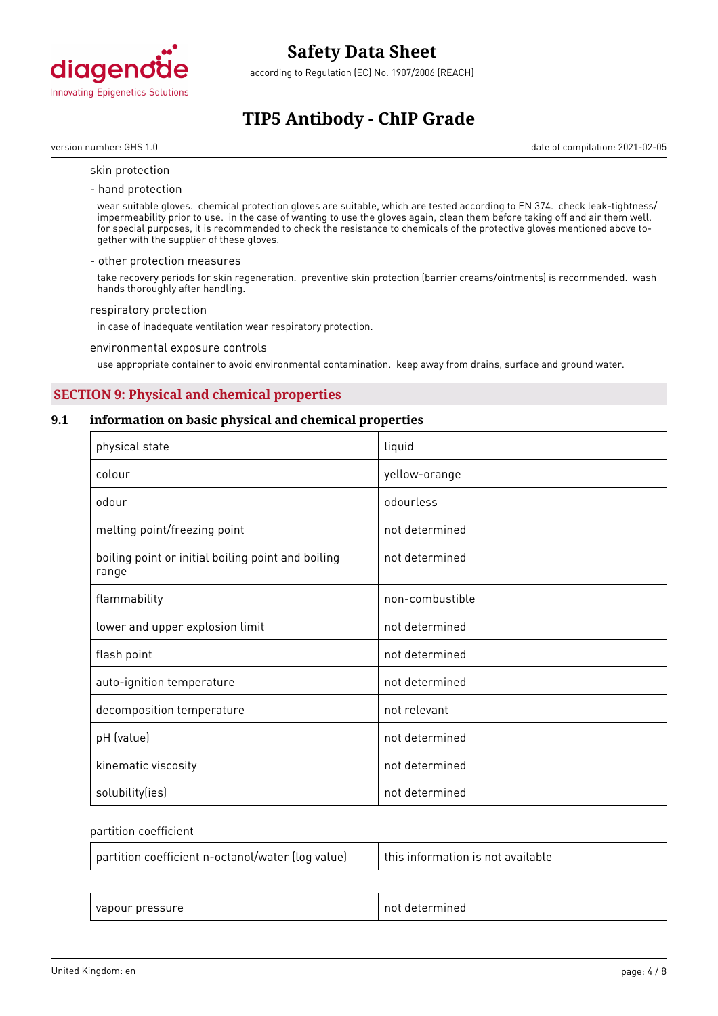

according to Regulation (EC) No. 1907/2006 (REACH)

# **TIP5 Antibody - ChIP Grade**

version number: GHS 1.0 date of compilation: 2021-02-05

- skin protection
- hand protection

wear suitable gloves. chemical protection gloves are suitable, which are tested according to EN 374. check leak-tightness/ impermeability prior to use. in the case of wanting to use the gloves again, clean them before taking off and air them well. for special purposes, it is recommended to check the resistance to chemicals of the protective gloves mentioned above together with the supplier of these gloves.

#### - other protection measures

take recovery periods for skin regeneration. preventive skin protection (barrier creams/ointments) is recommended. wash hands thoroughly after handling.

#### respiratory protection

in case of inadequate ventilation wear respiratory protection.

environmental exposure controls

use appropriate container to avoid environmental contamination. keep away from drains, surface and ground water.

# **SECTION 9: Physical and chemical properties**

#### **9.1 information on basic physical and chemical properties**

| physical state                                              | liquid          |
|-------------------------------------------------------------|-----------------|
| colour                                                      | yellow-orange   |
| odour                                                       | odourless       |
| melting point/freezing point                                | not determined  |
| boiling point or initial boiling point and boiling<br>range | not determined  |
| flammability                                                | non-combustible |
| lower and upper explosion limit                             | not determined  |
| flash point                                                 | not determined  |
| auto-ignition temperature                                   | not determined  |
| decomposition temperature                                   | not relevant    |
| pH (value)                                                  | not determined  |
| kinematic viscosity                                         | not determined  |
| solubility(ies)                                             | not determined  |

#### partition coefficient

| partition coefficient n-octanol/water (log value) | $\mid$ this information is not available |
|---------------------------------------------------|------------------------------------------|
|                                                   |                                          |

| $\sim$<br>$\sim$ nroce<br>$\overline{\phantom{a}}$<br>/apour<br>л.<br>. .<br>___ | nn<br>⊶וי<br>116C<br>.<br>. |
|----------------------------------------------------------------------------------|-----------------------------|
|----------------------------------------------------------------------------------|-----------------------------|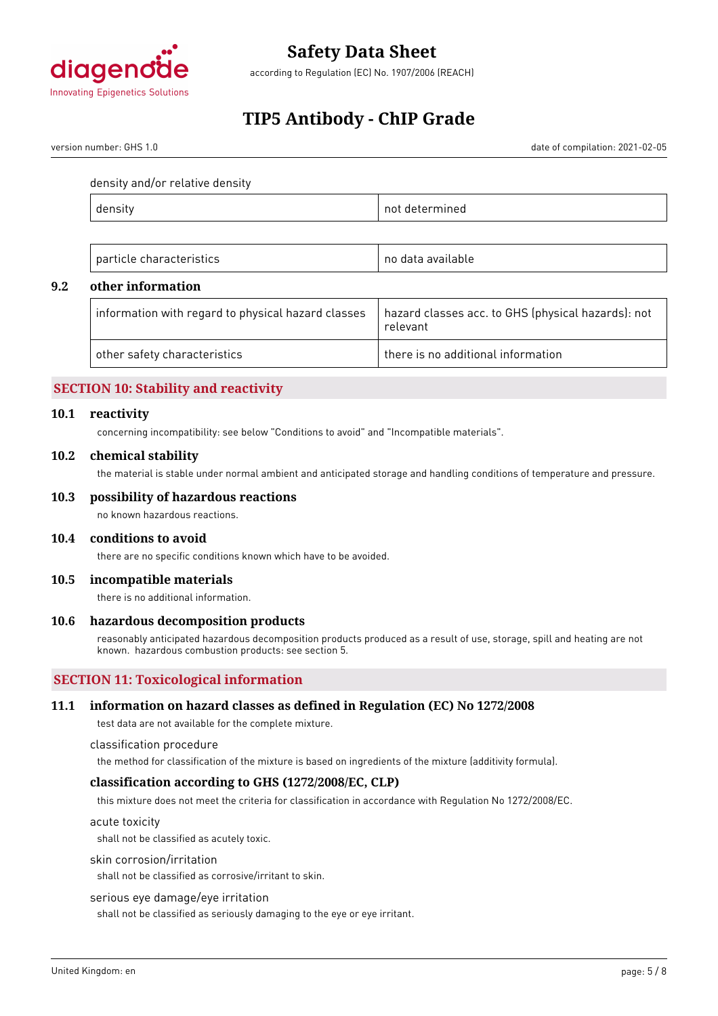

according to Regulation (EC) No. 1907/2006 (REACH)

# **TIP5 Antibody - ChIP Grade**

version number: GHS 1.0 date of compilation: 2021-02-05

density and/or relative density

| neu |
|-----|
|     |

| $ - -$<br>choroctoric<br>$n \cdot n + i \cdot c$<br>. .<br>itics<br>≏<br> | n <sub>0</sub><br>available<br>' ا– ا |
|---------------------------------------------------------------------------|---------------------------------------|
|---------------------------------------------------------------------------|---------------------------------------|

# **9.2 other information**

| $^\text{\tiny{l}}$ information with regard to physical hazard classes $^\text{\tiny{l}}$ | hazard classes acc. to GHS (physical hazards): not<br>relevant |
|------------------------------------------------------------------------------------------|----------------------------------------------------------------|
| other safety characteristics                                                             | $\mathop{\mathsf{I}}$ there is no additional information       |

# **SECTION 10: Stability and reactivity**

#### **10.1 reactivity**

concerning incompatibility: see below "Conditions to avoid" and "Incompatible materials".

#### **10.2 chemical stability**

the material is stable under normal ambient and anticipated storage and handling conditions of temperature and pressure.

#### **10.3 possibility of hazardous reactions**

no known hazardous reactions.

#### **10.4 conditions to avoid**

there are no specific conditions known which have to be avoided.

#### **10.5 incompatible materials**

there is no additional information.

#### **10.6 hazardous decomposition products**

reasonably anticipated hazardous decomposition products produced as a result of use, storage, spill and heating are not known. hazardous combustion products: see section 5.

# **SECTION 11: Toxicological information**

### **11.1 information on hazard classes as defined in Regulation (EC) No 1272/2008**

test data are not available for the complete mixture.

classification procedure

the method for classification of the mixture is based on ingredients of the mixture (additivity formula).

### **classification according to GHS (1272/2008/EC, CLP)**

this mixture does not meet the criteria for classification in accordance with Regulation No 1272/2008/EC.

acute toxicity

shall not be classified as acutely toxic.

#### skin corrosion/irritation

shall not be classified as corrosive/irritant to skin.

#### serious eye damage/eye irritation

shall not be classified as seriously damaging to the eye or eye irritant.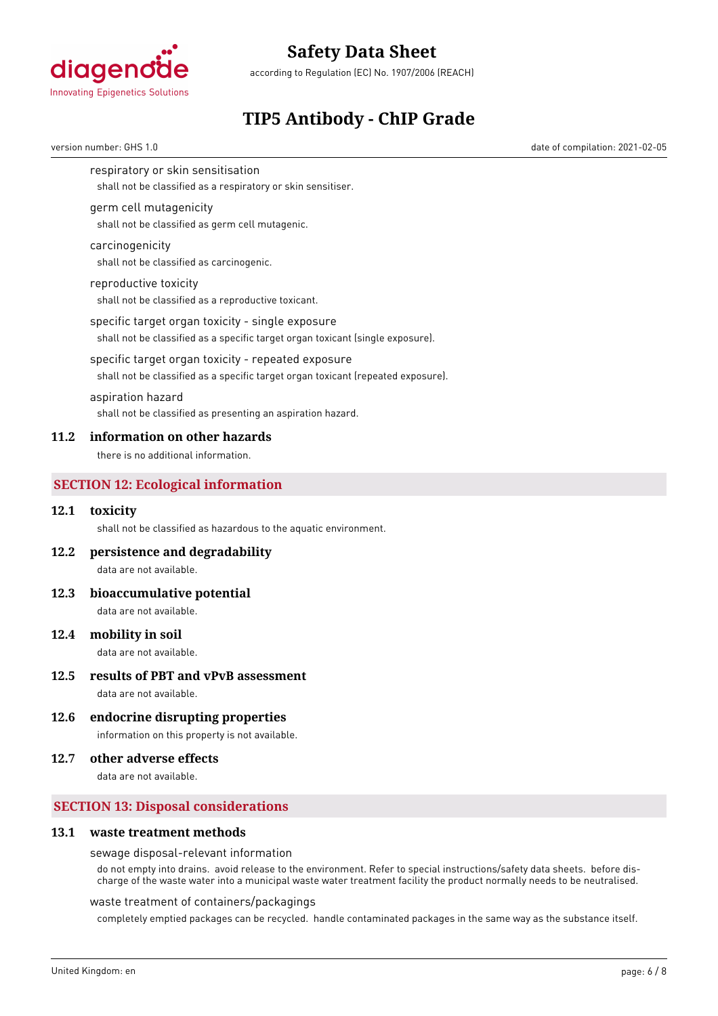

according to Regulation (EC) No. 1907/2006 (REACH)

# **TIP5 Antibody - ChIP Grade**

version number: GHS 1.0 date of compilation: 2021-02-05

respiratory or skin sensitisation

shall not be classified as a respiratory or skin sensitiser.

#### germ cell mutagenicity

shall not be classified as germ cell mutagenic.

#### carcinogenicity

shall not be classified as carcinogenic.

#### reproductive toxicity

shall not be classified as a reproductive toxicant.

#### specific target organ toxicity - single exposure

shall not be classified as a specific target organ toxicant (single exposure).

# specific target organ toxicity - repeated exposure

shall not be classified as a specific target organ toxicant (repeated exposure).

#### aspiration hazard

shall not be classified as presenting an aspiration hazard.

#### **11.2 information on other hazards**

there is no additional information.

### **SECTION 12: Ecological information**

#### **12.1 toxicity**

shall not be classified as hazardous to the aquatic environment.

### **12.2 persistence and degradability**

data are not available.

#### **12.3 bioaccumulative potential**

data are not available.

#### **12.4 mobility in soil**

data are not available.

### **12.5 results of PBT and vPvB assessment**

data are not available.

### **12.6 endocrine disrupting properties**

information on this property is not available.

## **12.7 other adverse effects**

data are not available.

# **SECTION 13: Disposal considerations**

#### **13.1 waste treatment methods**

#### sewage disposal-relevant information

do not empty into drains. avoid release to the environment. Refer to special instructions/safety data sheets. before discharge of the waste water into a municipal waste water treatment facility the product normally needs to be neutralised.

#### waste treatment of containers/packagings

completely emptied packages can be recycled. handle contaminated packages in the same way as the substance itself.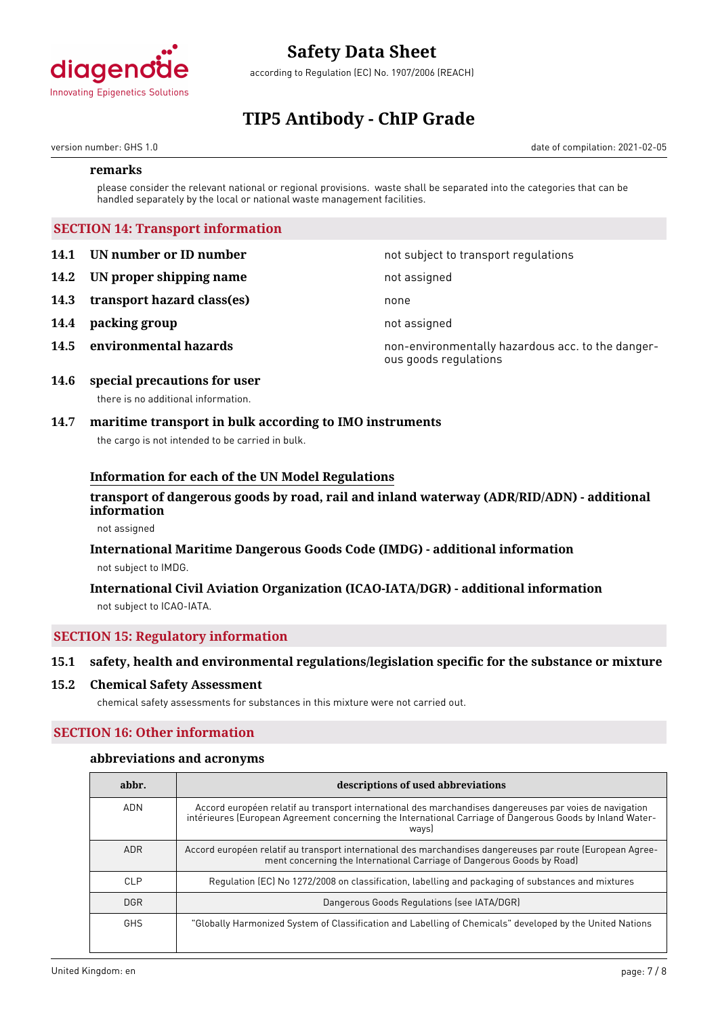

according to Regulation (EC) No. 1907/2006 (REACH)

# **TIP5 Antibody - ChIP Grade**

version number: GHS 1.0 date of compilation: 2021-02-05

#### **remarks**

please consider the relevant national or regional provisions. waste shall be separated into the categories that can be handled separately by the local or national waste management facilities.

# **SECTION 14: Transport information**

- **14.1 UN number or ID number 14.1 UN number** not subject to transport regulations
- **14.2 IN proper shipping name** not assigned
- **14.3 transport hazard class(es)** none
- **14.4 packing group** not assigned
- 

**14.5 environmental hazards non-environmentally hazardous acc. to the danger**ous goods regulations

### **14.6 special precautions for user** there is no additional information.

# **14.7 maritime transport in bulk according to IMO instruments**

the cargo is not intended to be carried in bulk.

### **Information for each of the UN Model Regulations**

# **transport of dangerous goods by road, rail and inland waterway (ADR/RID/ADN) - additional information**

not assigned

# **International Maritime Dangerous Goods Code (IMDG) - additional information** not subject to IMDG.

# **International Civil Aviation Organization (ICAO-IATA/DGR) - additional information** not subject to ICAO-IATA.

# **SECTION 15: Regulatory information**

# **15.1 safety, health and environmental regulations/legislation specific for the substance or mixture**

#### **15.2 Chemical Safety Assessment**

chemical safety assessments for substances in this mixture were not carried out.

# **SECTION 16: Other information**

#### **abbreviations and acronyms**

| abbr.      | descriptions of used abbreviations                                                                                                                                                                                            |
|------------|-------------------------------------------------------------------------------------------------------------------------------------------------------------------------------------------------------------------------------|
| <b>ADN</b> | Accord européen relatif au transport international des marchandises dangereuses par voies de navigation<br>intérieures (European Agreement concerning the International Carriage of Dangerous Goods by Inland Water-<br>ways) |
| <b>ADR</b> | Accord européen relatif au transport international des marchandises dangereuses par route (European Agree-<br>ment concerning the International Carriage of Dangerous Goods by Road)                                          |
| CLP        | Regulation (EC) No 1272/2008 on classification, labelling and packaging of substances and mixtures                                                                                                                            |
| <b>DGR</b> | Dangerous Goods Regulations (see IATA/DGR)                                                                                                                                                                                    |
| <b>GHS</b> | "Globally Harmonized System of Classification and Labelling of Chemicals" developed by the United Nations                                                                                                                     |